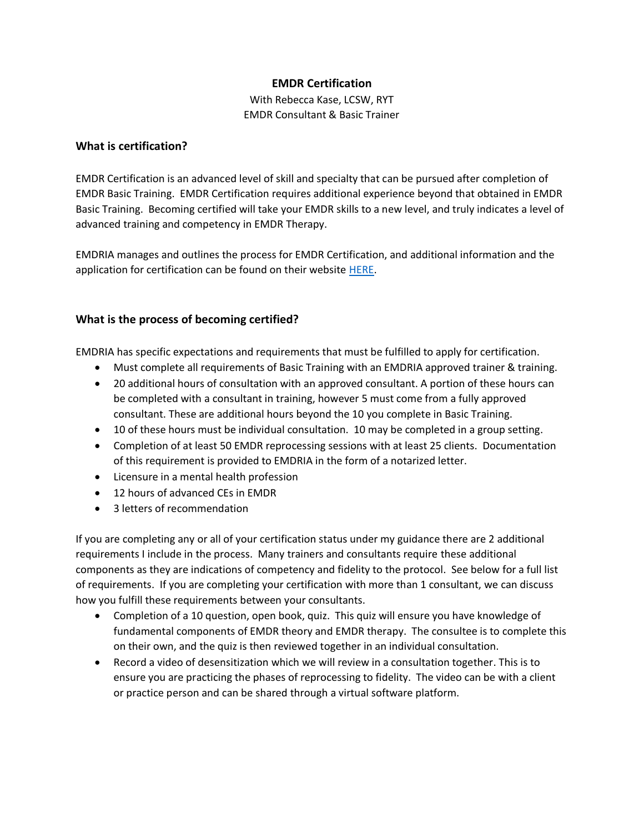# **EMDR Certification**

With Rebecca Kase, LCSW, RYT EMDR Consultant & Basic Trainer

# **What is certification?**

EMDR Certification is an advanced level of skill and specialty that can be pursued after completion of EMDR Basic Training. EMDR Certification requires additional experience beyond that obtained in EMDR Basic Training. Becoming certified will take your EMDR skills to a new level, and truly indicates a level of advanced training and competency in EMDR Therapy.

EMDRIA manages and outlines the process for EMDR Certification, and additional information and the application for certification can be found on their website [HERE.](https://www.emdria.org/emdr-training-education/emdr-certification/)

# **What is the process of becoming certified?**

EMDRIA has specific expectations and requirements that must be fulfilled to apply for certification.

- Must complete all requirements of Basic Training with an EMDRIA approved trainer & training.
- 20 additional hours of consultation with an approved consultant. A portion of these hours can be completed with a consultant in training, however 5 must come from a fully approved consultant. These are additional hours beyond the 10 you complete in Basic Training.
- 10 of these hours must be individual consultation. 10 may be completed in a group setting.
- Completion of at least 50 EMDR reprocessing sessions with at least 25 clients. Documentation of this requirement is provided to EMDRIA in the form of a notarized letter.
- Licensure in a mental health profession
- 12 hours of advanced CEs in EMDR
- 3 letters of recommendation

If you are completing any or all of your certification status under my guidance there are 2 additional requirements I include in the process. Many trainers and consultants require these additional components as they are indications of competency and fidelity to the protocol. See below for a full list of requirements. If you are completing your certification with more than 1 consultant, we can discuss how you fulfill these requirements between your consultants.

- Completion of a 10 question, open book, quiz. This quiz will ensure you have knowledge of fundamental components of EMDR theory and EMDR therapy. The consultee is to complete this on their own, and the quiz is then reviewed together in an individual consultation.
- Record a video of desensitization which we will review in a consultation together. This is to ensure you are practicing the phases of reprocessing to fidelity. The video can be with a client or practice person and can be shared through a virtual software platform.